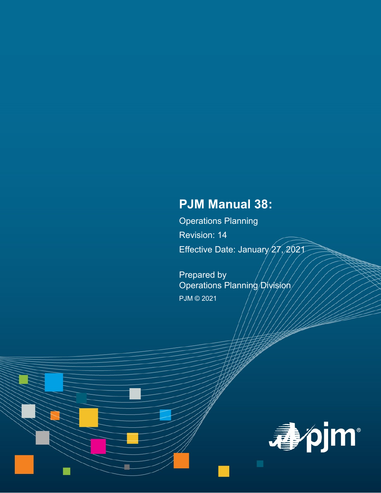# **PJM Manual 38:**

Operations Planning Revision: 14 Effective Date: January 27, 2021

Prepared by Operations Planning Division PJM © 2021

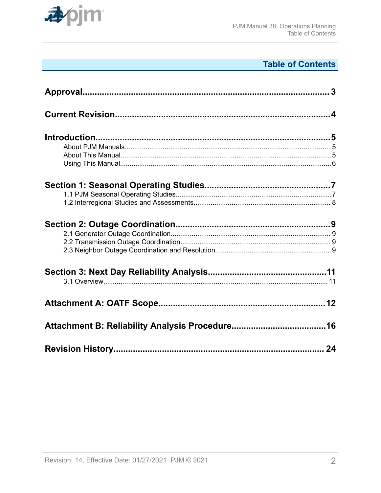

# **Table of Contents**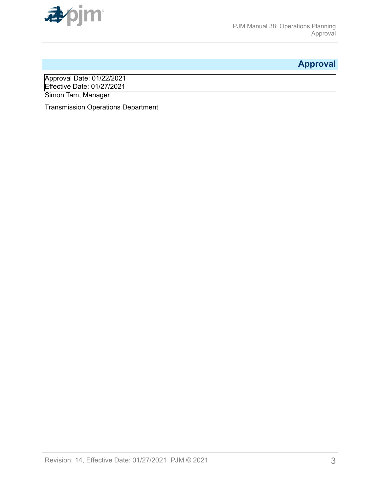<span id="page-2-0"></span>

# **Approval**

Approval Date: 01/22/2021 Effective Date: 01/27/2021 Simon Tam, Manager

Transmission Operations Department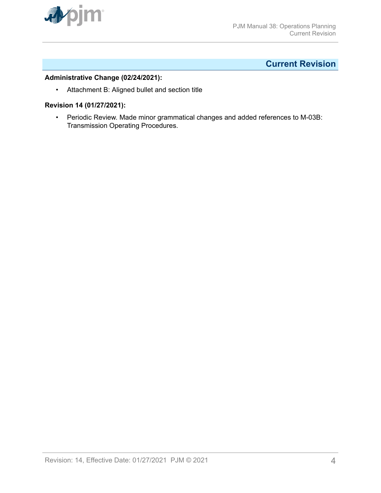<span id="page-3-0"></span>

# **Current Revision**

# **Administrative Change (02/24/2021):**

• Attachment B: Aligned bullet and section title

# **Revision 14 (01/27/2021):**

• Periodic Review. Made minor grammatical changes and added references to M-03B: Transmission Operating Procedures.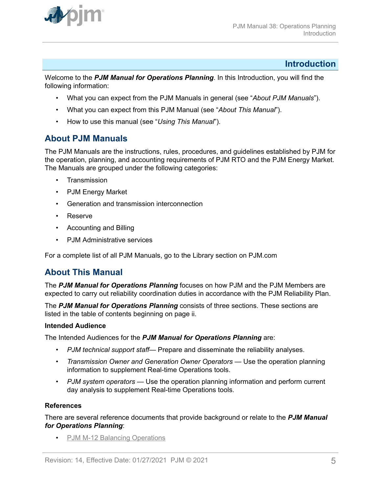<span id="page-4-0"></span>

# **Introduction**

W*e*lcome to the *PJM Manual for Operations Planning*. In this Introduction, you will find the following information:

- What you can expect from the PJM Manuals in general (see "*About PJM Manuals*").
- What you can expect from this PJM Manual (see "*About This Manual*").
- How to use this manual (see "*Using This Manual*").

# **About PJM Manuals**

The PJM Manuals are the instructions, rules, procedures, and guidelines established by PJM for the operation, planning, and accounting requirements of PJM RTO and the PJM Energy Market. The Manuals are grouped under the following categories:

- **Transmission**
- PJM Energy Market
- Generation and transmission interconnection
- Reserve
- Accounting and Billing
- PJM Administrative services

For a complete list of all PJM Manuals, go to the Library section on PJM.com

# **About This Manual**

The *PJM Manual for Operations Planning* focuses on how PJM and the PJM Members are expected to carry out reliability coordination duties in accordance with the PJM Reliability Plan.

The *PJM Manual for Operations Planning* consists of three sections. These sections are listed in the table of contents beginning on page ii.

# **Intended Audience**

The Intended Audiences for the *PJM Manual for Operations Planning* are:

- *PJM technical support staff* Prepare and disseminate the reliability analyses.
- *Transmission Owner and Generation Owner Operators* Use the operation planning information to supplement Real-time Operations tools.
- *PJM system operators* Use the operation planning information and perform current day analysis to supplement Real-time Operations tools.

#### **References**

There are several reference documents that provide background or relate to the *PJM Manual for Operations Planning*:

• [PJM M-12 Balancing Operations](http://www.pjm.com/~/media/documents/manuals/m12.ashx)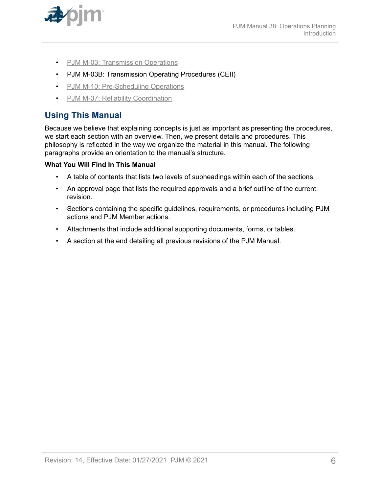<span id="page-5-0"></span>

- [PJM M-03: Transmission Operations](http://www.pjm.com/~/media/documents/manuals/m03.ashx)
- PJM M-03B: Transmission Operating Procedures (CEII)
- [PJM M-10: Pre-Scheduling Operations](http://www.pjm.com/~/media/documents/manuals/m10.ashx)
- [PJM M-37: Reliability Coordination](http://pjm.com/~/media/documents/manuals/m37.ashx)

# **Using This Manual**

Because we believe that explaining concepts is just as important as presenting the procedures, we start each section with an overview. Then, we present details and procedures. This philosophy is reflected in the way we organize the material in this manual. The following paragraphs provide an orientation to the manual's structure.

# **What You Will Find In This Manual**

- A table of contents that lists two levels of subheadings within each of the sections.
- An approval page that lists the required approvals and a brief outline of the current revision.
- Sections containing the specific guidelines, requirements, or procedures including PJM actions and PJM Member actions.
- Attachments that include additional supporting documents, forms, or tables.
- A section at the end detailing all previous revisions of the PJM Manual.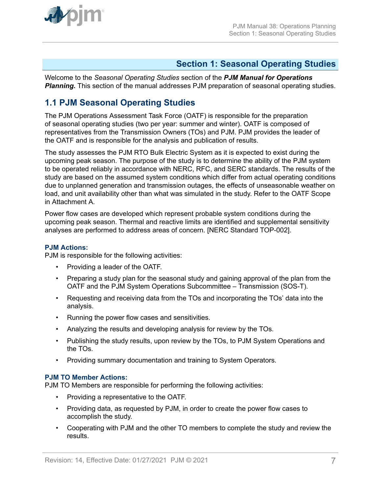<span id="page-6-0"></span>

# **Section 1: Seasonal Operating Studies**

Welcome to the *Seasonal Operating Studies* section of the *PJM Manual for Operations* **Planning.** This section of the manual addresses PJM preparation of seasonal operating studies.

# **1.1 PJM Seasonal Operating Studies**

The PJM Operations Assessment Task Force (OATF) is responsible for the preparation of seasonal operating studies (two per year: summer and winter). OATF is composed of representatives from the Transmission Owners (TOs) and PJM. PJM provides the leader of the OATF and is responsible for the analysis and publication of results.

The study assesses the PJM RTO Bulk Electric System as it is expected to exist during the upcoming peak season. The purpose of the study is to determine the ability of the PJM system to be operated reliably in accordance with NERC, RFC, and SERC standards. The results of the study are based on the assumed system conditions which differ from actual operating conditions due to unplanned generation and transmission outages, the effects of unseasonable weather on load, and unit availability other than what was simulated in the study. Refer to the OATF Scope in Attachment A.

Power flow cases are developed which represent probable system conditions during the upcoming peak season. Thermal and reactive limits are identified and supplemental sensitivity analyses are performed to address areas of concern. [NERC Standard TOP-002].

#### **PJM Actions:**

PJM is responsible for the following activities:

- Providing a leader of the OATF.
- Preparing a study plan for the seasonal study and gaining approval of the plan from the OATF and the PJM System Operations Subcommittee – Transmission (SOS-T).
- Requesting and receiving data from the TOs and incorporating the TOs' data into the analysis.
- Running the power flow cases and sensitivities.
- Analyzing the results and developing analysis for review by the TOs.
- Publishing the study results, upon review by the TOs, to PJM System Operations and the TOs.
- Providing summary documentation and training to System Operators.

# **PJM TO Member Actions:**

PJM TO Members are responsible for performing the following activities:

- Providing a representative to the OATF.
- Providing data, as requested by PJM, in order to create the power flow cases to accomplish the study.
- Cooperating with PJM and the other TO members to complete the study and review the results.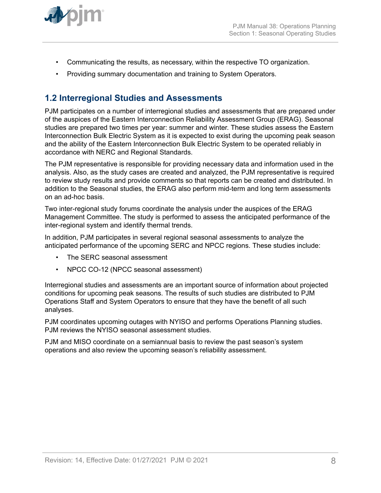<span id="page-7-0"></span>

- Communicating the results, as necessary, within the respective TO organization.
- Providing summary documentation and training to System Operators.

# **1.2 Interregional Studies and Assessments**

PJM participates on a number of interregional studies and assessments that are prepared under of the auspices of the Eastern Interconnection Reliability Assessment Group (ERAG). Seasonal studies are prepared two times per year: summer and winter. These studies assess the Eastern Interconnection Bulk Electric System as it is expected to exist during the upcoming peak season and the ability of the Eastern Interconnection Bulk Electric System to be operated reliably in accordance with NERC and Regional Standards.

The PJM representative is responsible for providing necessary data and information used in the analysis. Also, as the study cases are created and analyzed, the PJM representative is required to review study results and provide comments so that reports can be created and distributed. In addition to the Seasonal studies, the ERAG also perform mid-term and long term assessments on an ad-hoc basis.

Two inter-regional study forums coordinate the analysis under the auspices of the ERAG Management Committee. The study is performed to assess the anticipated performance of the inter-regional system and identify thermal trends.

In addition, PJM participates in several regional seasonal assessments to analyze the anticipated performance of the upcoming SERC and NPCC regions. These studies include:

- The SERC seasonal assessment
- NPCC CO-12 (NPCC seasonal assessment)

Interregional studies and assessments are an important source of information about projected conditions for upcoming peak seasons. The results of such studies are distributed to PJM Operations Staff and System Operators to ensure that they have the benefit of all such analyses.

PJM coordinates upcoming outages with NYISO and performs Operations Planning studies. PJM reviews the NYISO seasonal assessment studies.

PJM and MISO coordinate on a semiannual basis to review the past season's system operations and also review the upcoming season's reliability assessment.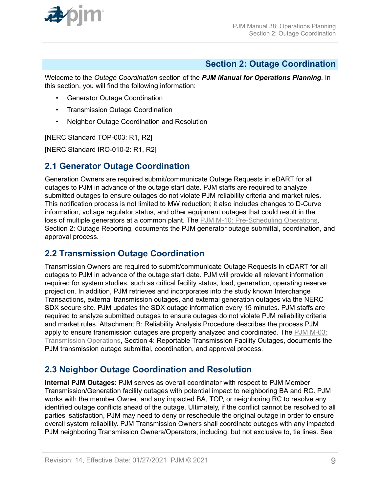<span id="page-8-0"></span>

# **Section 2: Outage Coordination**

Welcome to the *Outage Coordination* section of the *PJM Manual for Operations Planning*. In this section, you will find the following information:

- Generator Outage Coordination
- Transmission Outage Coordination
- Neighbor Outage Coordination and Resolution

[NERC Standard TOP-003: R1, R2]

[NERC Standard IRO-010-2: R1, R2]

# **2.1 Generator Outage Coordination**

Generation Owners are required submit/communicate Outage Requests in eDART for all outages to PJM in advance of the outage start date. PJM staffs are required to analyze submitted outages to ensure outages do not violate PJM reliability criteria and market rules. This notification process is not limited to MW reduction; it also includes changes to D-Curve information, voltage regulator status, and other equipment outages that could result in the loss of multiple generators at a common plant. The [PJM M-10: Pre-Scheduling Operations](http://www.pjm.com/~/media/documents/manuals/m10.ashx), Section 2: Outage Reporting, documents the PJM generator outage submittal, coordination, and approval process.

# **2.2 Transmission Outage Coordination**

Transmission Owners are required to submit/communicate Outage Requests in eDART for all outages to PJM in advance of the outage start date. PJM will provide all relevant information required for system studies, such as critical facility status, load, generation, operating reserve projection. In addition, PJM retrieves and incorporates into the study known Interchange Transactions, external transmission outages, and external generation outages via the NERC SDX secure site. PJM updates the SDX outage information every 15 minutes. PJM staffs are required to analyze submitted outages to ensure outages do not violate PJM reliability criteria and market rules. Attachment B: Reliability Analysis Procedure describes the process PJM apply to ensure transmission outages are properly analyzed and coordinated. The [PJM M-03:](http://www.pjm.com/~/media/documents/manuals/m03.ashx) [Transmission Operations,](http://www.pjm.com/~/media/documents/manuals/m03.ashx) Section 4: Reportable Transmission Facility Outages, documents the PJM transmission outage submittal, coordination, and approval process.

# **2.3 Neighbor Outage Coordination and Resolution**

**Internal PJM Outages**: PJM serves as overall coordinator with respect to PJM Member Transmission/Generation facility outages with potential impact to neighboring BA and RC. PJM works with the member Owner, and any impacted BA, TOP, or neighboring RC to resolve any identified outage conflicts ahead of the outage. Ultimately, if the conflict cannot be resolved to all parties' satisfaction, PJM may need to deny or reschedule the original outage in order to ensure overall system reliability. PJM Transmission Owners shall coordinate outages with any impacted PJM neighboring Transmission Owners/Operators, including, but not exclusive to, tie lines. See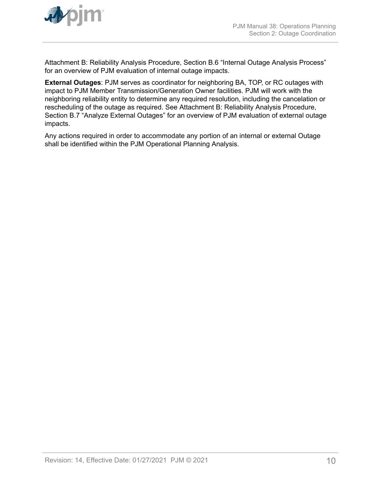

Attachment B: Reliability Analysis Procedure, Section B.6 "Internal Outage Analysis Process" for an overview of PJM evaluation of internal outage impacts.

**External Outages**: PJM serves as coordinator for neighboring BA, TOP, or RC outages with impact to PJM Member Transmission/Generation Owner facilities. PJM will work with the neighboring reliability entity to determine any required resolution, including the cancelation or rescheduling of the outage as required. See Attachment B: Reliability Analysis Procedure, Section B.7 "Analyze External Outages" for an overview of PJM evaluation of external outage impacts.

Any actions required in order to accommodate any portion of an internal or external Outage shall be identified within the PJM Operational Planning Analysis.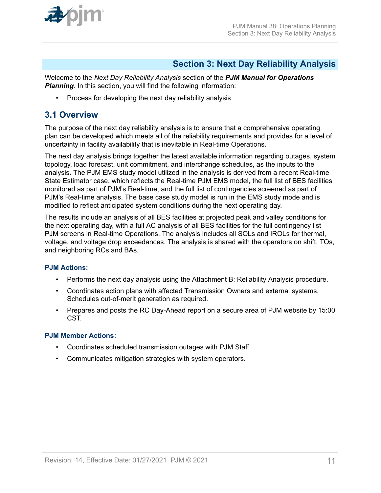<span id="page-10-0"></span>

# **Section 3: Next Day Reliability Analysis**

Welcome to the *Next Day Reliability Analysis* section of the *PJM Manual for Operations* **Planning**. In this section, you will find the following information:

• Process for developing the next day reliability analysis

# **3.1 Overview**

The purpose of the next day reliability analysis is to ensure that a comprehensive operating plan can be developed which meets all of the reliability requirements and provides for a level of uncertainty in facility availability that is inevitable in Real-time Operations.

The next day analysis brings together the latest available information regarding outages, system topology, load forecast, unit commitment, and interchange schedules, as the inputs to the analysis. The PJM EMS study model utilized in the analysis is derived from a recent Real-time State Estimator case, which reflects the Real-time PJM EMS model, the full list of BES facilities monitored as part of PJM's Real-time, and the full list of contingencies screened as part of PJM's Real-time analysis. The base case study model is run in the EMS study mode and is modified to reflect anticipated system conditions during the next operating day.

The results include an analysis of all BES facilities at projected peak and valley conditions for the next operating day, with a full AC analysis of all BES facilities for the full contingency list PJM screens in Real-time Operations. The analysis includes all SOLs and IROLs for thermal, voltage, and voltage drop exceedances. The analysis is shared with the operators on shift, TOs, and neighboring RCs and BAs.

# **PJM Actions:**

- Performs the next day analysis using the Attachment B: Reliability Analysis procedure.
- Coordinates action plans with affected Transmission Owners and external systems. Schedules out-of-merit generation as required.
- Prepares and posts the RC Day-Ahead report on a secure area of PJM website by 15:00 CST.

# **PJM Member Actions:**

- Coordinates scheduled transmission outages with PJM Staff.
- Communicates mitigation strategies with system operators.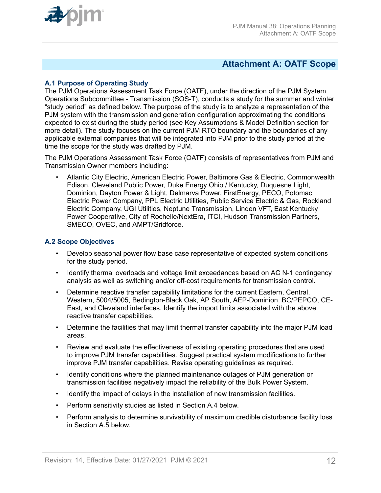<span id="page-11-0"></span>

# **Attachment A: OATF Scope**

# **A.1 Purpose of Operating Study**

The PJM Operations Assessment Task Force (OATF), under the direction of the PJM System Operations Subcommittee - Transmission (SOS-T), conducts a study for the summer and winter "study period" as defined below. The purpose of the study is to analyze a representation of the PJM system with the transmission and generation configuration approximating the conditions expected to exist during the study period (see Key Assumptions & Model Definition section for more detail). The study focuses on the current PJM RTO boundary and the boundaries of any applicable external companies that will be integrated into PJM prior to the study period at the time the scope for the study was drafted by PJM.

The PJM Operations Assessment Task Force (OATF) consists of representatives from PJM and Transmission Owner members including:

• Atlantic City Electric, American Electric Power, Baltimore Gas & Electric, Commonwealth Edison, Cleveland Public Power, Duke Energy Ohio / Kentucky, Duquesne Light, Dominion, Dayton Power & Light, Delmarva Power, FirstEnergy, PECO, Potomac Electric Power Company, PPL Electric Utilities, Public Service Electric & Gas, Rockland Electric Company, UGI Utilities, Neptune Transmission, Linden VFT, East Kentucky Power Cooperative, City of Rochelle/NextEra, ITCI, Hudson Transmission Partners, SMECO, OVEC, and AMPT/Gridforce.

### **A.2 Scope Objectives**

- Develop seasonal power flow base case representative of expected system conditions for the study period.
- Identify thermal overloads and voltage limit exceedances based on AC N-1 contingency analysis as well as switching and/or off-cost requirements for transmission control.
- Determine reactive transfer capability limitations for the current Eastern, Central, Western, 5004/5005, Bedington-Black Oak, AP South, AEP-Dominion, BC/PEPCO, CE-East, and Cleveland interfaces. Identify the import limits associated with the above reactive transfer capabilities.
- Determine the facilities that may limit thermal transfer capability into the major PJM load areas.
- Review and evaluate the effectiveness of existing operating procedures that are used to improve PJM transfer capabilities. Suggest practical system modifications to further improve PJM transfer capabilities. Revise operating guidelines as required.
- Identify conditions where the planned maintenance outages of PJM generation or transmission facilities negatively impact the reliability of the Bulk Power System.
- Identify the impact of delays in the installation of new transmission facilities.
- Perform sensitivity studies as listed in Section A.4 below.
- Perform analysis to determine survivability of maximum credible disturbance facility loss in Section A.5 below.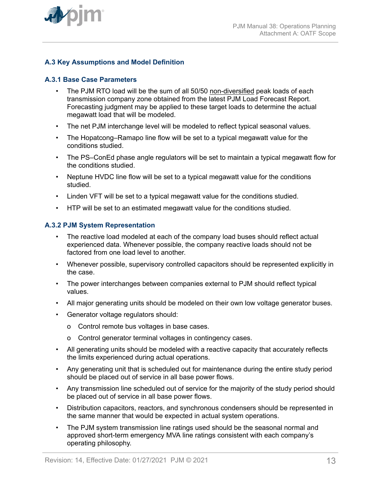

# **A.3 Key Assumptions and Model Definition**

### **A.3.1 Base Case Parameters**

- The PJM RTO load will be the sum of all 50/50 non-diversified peak loads of each transmission company zone obtained from the latest PJM Load Forecast Report. Forecasting judgment may be applied to these target loads to determine the actual megawatt load that will be modeled.
- The net PJM interchange level will be modeled to reflect typical seasonal values.
- The Hopatcong–Ramapo line flow will be set to a typical megawatt value for the conditions studied.
- The PS–ConEd phase angle regulators will be set to maintain a typical megawatt flow for the conditions studied.
- Neptune HVDC line flow will be set to a typical megawatt value for the conditions studied.
- Linden VFT will be set to a typical megawatt value for the conditions studied.
- HTP will be set to an estimated megawatt value for the conditions studied.

### **A.3.2 PJM System Representation**

- The reactive load modeled at each of the company load buses should reflect actual experienced data. Whenever possible, the company reactive loads should not be factored from one load level to another.
- Whenever possible, supervisory controlled capacitors should be represented explicitly in the case.
- The power interchanges between companies external to PJM should reflect typical values.
- All major generating units should be modeled on their own low voltage generator buses.
- Generator voltage regulators should:
	- o Control remote bus voltages in base cases.
	- o Control generator terminal voltages in contingency cases.
- All generating units should be modeled with a reactive capacity that accurately reflects the limits experienced during actual operations.
- Any generating unit that is scheduled out for maintenance during the entire study period should be placed out of service in all base power flows.
- Any transmission line scheduled out of service for the majority of the study period should be placed out of service in all base power flows.
- Distribution capacitors, reactors, and synchronous condensers should be represented in the same manner that would be expected in actual system operations.
- The PJM system transmission line ratings used should be the seasonal normal and approved short-term emergency MVA line ratings consistent with each company's operating philosophy.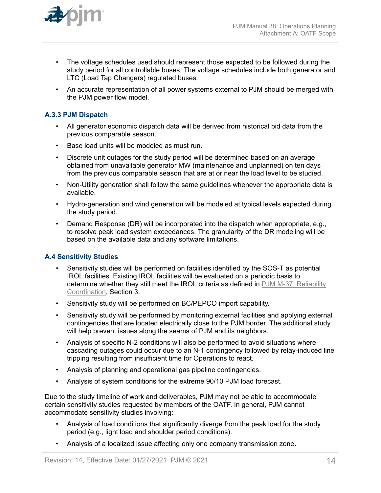

- The voltage schedules used should represent those expected to be followed during the study period for all controllable buses. The voltage schedules include both generator and LTC (Load Tap Changers) regulated buses.
- An accurate representation of all power systems external to PJM should be merged with the PJM power flow model.

# **A.3.3 PJM Dispatch**

- All generator economic dispatch data will be derived from historical bid data from the previous comparable season.
- Base load units will be modeled as must run.
- Discrete unit outages for the study period will be determined based on an average obtained from unavailable generator MW (maintenance and unplanned) on ten days from the previous comparable season that are at or near the load level to be studied.
- Non-Utility generation shall follow the same guidelines whenever the appropriate data is available.
- Hydro-generation and wind generation will be modeled at typical levels expected during the study period.
- Demand Response (DR) will be incorporated into the dispatch when appropriate, e.g., to resolve peak load system exceedances. The granularity of the DR modeling will be based on the available data and any software limitations.

# **A.4 Sensitivity Studies**

- Sensitivity studies will be performed on facilities identified by the SOS-T as potential IROL facilities. Existing IROL facilities will be evaluated on a periodic basis to determine whether they still meet the IROL criteria as defined in [PJM M-37: Reliability](http://pjm.com/~/media/documents/manuals/m37.ashx) [Coordination](http://pjm.com/~/media/documents/manuals/m37.ashx), Section 3.
- Sensitivity study will be performed on BC/PEPCO import capability.
- Sensitivity study will be performed by monitoring external facilities and applying external contingencies that are located electrically close to the PJM border. The additional study will help prevent issues along the seams of PJM and its neighbors.
- Analysis of specific N-2 conditions will also be performed to avoid situations where cascading outages could occur due to an N-1 contingency followed by relay-induced line tripping resulting from insufficient time for Operations to react.
- Analysis of planning and operational gas pipeline contingencies.
- Analysis of system conditions for the extreme 90/10 PJM load forecast.

Due to the study timeline of work and deliverables, PJM may not be able to accommodate certain sensitivity studies requested by members of the OATF. In general, PJM cannot accommodate sensitivity studies involving:

- Analysis of load conditions that significantly diverge from the peak load for the study period (e.g., light load and shoulder period conditions).
- Analysis of a localized issue affecting only one company transmission zone.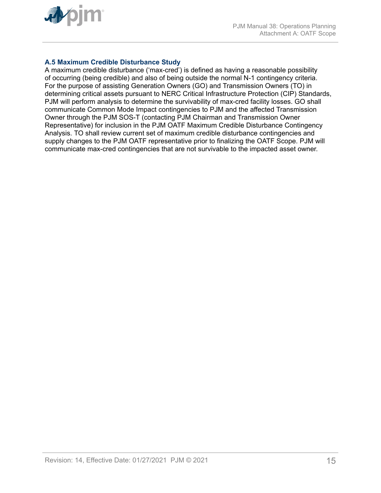

# **A.5 Maximum Credible Disturbance Study**

A maximum credible disturbance ('max-cred') is defined as having a reasonable possibility of occurring (being credible) and also of being outside the normal N-1 contingency criteria. For the purpose of assisting Generation Owners (GO) and Transmission Owners (TO) in determining critical assets pursuant to NERC Critical Infrastructure Protection (CIP) Standards, PJM will perform analysis to determine the survivability of max-cred facility losses. GO shall communicate Common Mode Impact contingencies to PJM and the affected Transmission Owner through the PJM SOS-T (contacting PJM Chairman and Transmission Owner Representative) for inclusion in the PJM OATF Maximum Credible Disturbance Contingency Analysis. TO shall review current set of maximum credible disturbance contingencies and supply changes to the PJM OATF representative prior to finalizing the OATF Scope. PJM will communicate max-cred contingencies that are not survivable to the impacted asset owner.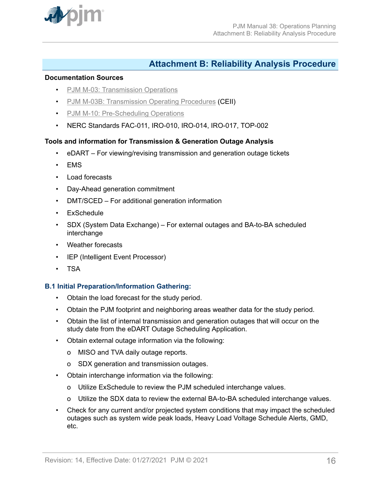<span id="page-15-0"></span>

# **Attachment B: Reliability Analysis Procedure**

#### **Documentation Sources**

- [PJM M-03: Transmission Operations](http://www.pjm.com/~/media/documents/manuals/m03.ashx)
- [PJM M-03B: Transmission Operating Procedures](https://www.pjm.com/library/manuals/private-m03.aspx) (CEII)
- [PJM M-10: Pre-Scheduling Operations](http://www.pjm.com/~/media/documents/manuals/m10.ashx)
- NERC Standards FAC-011, IRO-010, IRO-014, IRO-017, TOP-002

# **Tools and information for Transmission & Generation Outage Analysis**

- eDART For viewing/revising transmission and generation outage tickets
- EMS
- Load forecasts
- Day-Ahead generation commitment
- DMT/SCED For additional generation information
- ExSchedule
- SDX (System Data Exchange) For external outages and BA-to-BA scheduled interchange
- Weather forecasts
- IEP (Intelligent Event Processor)
- TSA

#### **B.1 Initial Preparation/Information Gathering:**

- Obtain the load forecast for the study period.
- Obtain the PJM footprint and neighboring areas weather data for the study period.
- Obtain the list of internal transmission and generation outages that will occur on the study date from the eDART Outage Scheduling Application.
- Obtain external outage information via the following:
	- o MISO and TVA daily outage reports.
	- o SDX generation and transmission outages.
- Obtain interchange information via the following:
	- o Utilize ExSchedule to review the PJM scheduled interchange values.
	- o Utilize the SDX data to review the external BA-to-BA scheduled interchange values.
- Check for any current and/or projected system conditions that may impact the scheduled outages such as system wide peak loads, Heavy Load Voltage Schedule Alerts, GMD, etc.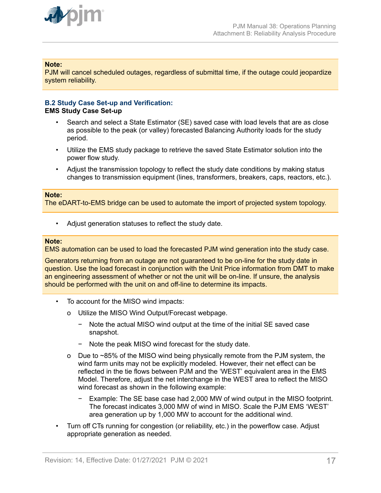

### **Note:**

PJM will cancel scheduled outages, regardless of submittal time, if the outage could jeopardize system reliability.

#### **B.2 Study Case Set-up and Verification: EMS Study Case Set-up**

- Search and select a State Estimator (SE) saved case with load levels that are as close as possible to the peak (or valley) forecasted Balancing Authority loads for the study period.
- Utilize the EMS study package to retrieve the saved State Estimator solution into the power flow study.
- Adjust the transmission topology to reflect the study date conditions by making status changes to transmission equipment (lines, transformers, breakers, caps, reactors, etc.).

#### **Note:**

The eDART-to-EMS bridge can be used to automate the import of projected system topology.

Adjust generation statuses to reflect the study date.

#### **Note:**

EMS automation can be used to load the forecasted PJM wind generation into the study case.

Generators returning from an outage are not guaranteed to be on-line for the study date in question. Use the load forecast in conjunction with the Unit Price information from DMT to make an engineering assessment of whether or not the unit will be on-line. If unsure, the analysis should be performed with the unit on and off-line to determine its impacts.

- To account for the MISO wind impacts:
	- o Utilize the MISO Wind Output/Forecast webpage.
		- − Note the actual MISO wind output at the time of the initial SE saved case snapshot.
		- − Note the peak MISO wind forecast for the study date.
	- o Due to ~85% of the MISO wind being physically remote from the PJM system, the wind farm units may not be explicitly modeled. However, their net effect can be reflected in the tie flows between PJM and the 'WEST' equivalent area in the EMS Model. Therefore, adjust the net interchange in the WEST area to reflect the MISO wind forecast as shown in the following example:
		- − Example: The SE base case had 2,000 MW of wind output in the MISO footprint. The forecast indicates 3,000 MW of wind in MISO. Scale the PJM EMS 'WEST' area generation up by 1,000 MW to account for the additional wind.
- Turn off CTs running for congestion (or reliability, etc.) in the powerflow case. Adjust appropriate generation as needed.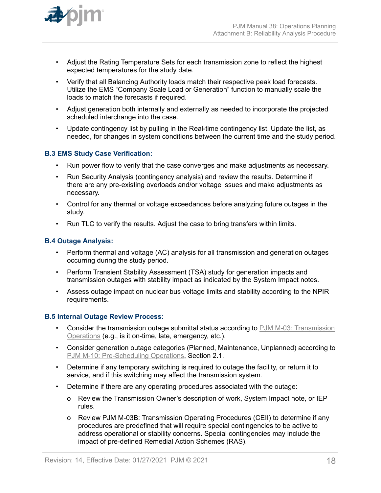

- Adjust the Rating Temperature Sets for each transmission zone to reflect the highest expected temperatures for the study date.
- Verify that all Balancing Authority loads match their respective peak load forecasts. Utilize the EMS "Company Scale Load or Generation" function to manually scale the loads to match the forecasts if required.
- Adjust generation both internally and externally as needed to incorporate the projected scheduled interchange into the case.
- Update contingency list by pulling in the Real-time contingency list. Update the list, as needed, for changes in system conditions between the current time and the study period.

# **B.3 EMS Study Case Verification:**

- Run power flow to verify that the case converges and make adjustments as necessary.
- Run Security Analysis (contingency analysis) and review the results. Determine if there are any pre-existing overloads and/or voltage issues and make adjustments as necessary.
- Control for any thermal or voltage exceedances before analyzing future outages in the study.
- Run TLC to verify the results. Adjust the case to bring transfers within limits.

### **B.4 Outage Analysis:**

- Perform thermal and voltage (AC) analysis for all transmission and generation outages occurring during the study period.
- Perform Transient Stability Assessment (TSA) study for generation impacts and transmission outages with stability impact as indicated by the System Impact notes.
- Assess outage impact on nuclear bus voltage limits and stability according to the NPIR requirements.

#### **B.5 Internal Outage Review Process:**

- Consider the transmission outage submittal status according to [PJM M-03: Transmission](http://www.pjm.com/~/media/documents/manuals/m03.ashx) [Operations](http://www.pjm.com/~/media/documents/manuals/m03.ashx) (e.g., is it on-time, late, emergency, etc.).
- Consider generation outage categories (Planned, Maintenance, Unplanned) according to [PJM M-10: Pre-Scheduling Operations](http://www.pjm.com/~/media/documents/manuals/m10.ashx), Section 2.1.
- Determine if any temporary switching is required to outage the facility, or return it to service, and if this switching may affect the transmission system.
- Determine if there are any operating procedures associated with the outage:
	- o Review the Transmission Owner's description of work, System Impact note, or IEP rules.
	- o Review PJM M-03B: Transmission Operating Procedures (CEII) to determine if any procedures are predefined that will require special contingencies to be active to address operational or stability concerns. Special contingencies may include the impact of pre-defined Remedial Action Schemes (RAS).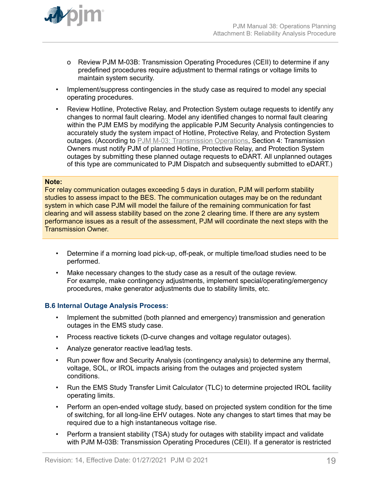

- o Review PJM M-03B: Transmission Operating Procedures (CEII) to determine if any predefined procedures require adjustment to thermal ratings or voltage limits to maintain system security.
- Implement/suppress contingencies in the study case as required to model any special operating procedures.
- Review Hotline, Protective Relay, and Protection System outage requests to identify any changes to normal fault clearing. Model any identified changes to normal fault clearing within the PJM EMS by modifying the applicable PJM Security Analysis contingencies to accurately study the system impact of Hotline, Protective Relay, and Protection System outages. (According to [PJM M-03: Transmission Operations,](http://www.pjm.com/~/media/documents/manuals/m03.ashx) Section 4: Transmission Owners must notify PJM of planned Hotline, Protective Relay, and Protection System outages by submitting these planned outage requests to eDART. All unplanned outages of this type are communicated to PJM Dispatch and subsequently submitted to eDART.)

#### **Note:**

For relay communication outages exceeding 5 days in duration, PJM will perform stability studies to assess impact to the BES. The communication outages may be on the redundant system in which case PJM will model the failure of the remaining communication for fast clearing and will assess stability based on the zone 2 clearing time. If there are any system performance issues as a result of the assessment, PJM will coordinate the next steps with the Transmission Owner.

- Determine if a morning load pick-up, off-peak, or multiple time/load studies need to be performed.
- Make necessary changes to the study case as a result of the outage review. For example, make contingency adjustments, implement special/operating/emergency procedures, make generator adjustments due to stability limits, etc.

#### **B.6 Internal Outage Analysis Process:**

- Implement the submitted (both planned and emergency) transmission and generation outages in the EMS study case.
- Process reactive tickets (D-curve changes and voltage regulator outages).
- Analyze generator reactive lead/lag tests.
- Run power flow and Security Analysis (contingency analysis) to determine any thermal, voltage, SOL, or IROL impacts arising from the outages and projected system conditions.
- Run the EMS Study Transfer Limit Calculator (TLC) to determine projected IROL facility operating limits.
- Perform an open-ended voltage study, based on projected system condition for the time of switching, for all long-line EHV outages. Note any changes to start times that may be required due to a high instantaneous voltage rise.
- Perform a transient stability (TSA) study for outages with stability impact and validate with PJM M-03B: Transmission Operating Procedures (CEII). If a generator is restricted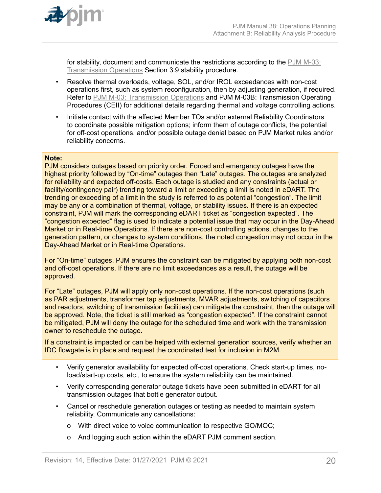

for stability, document and communicate the restrictions according to the [PJM M-03:](http://www.pjm.com/~/media/documents/manuals/m03.ashx) [Transmission Operations](http://www.pjm.com/~/media/documents/manuals/m03.ashx) Section 3.9 stability procedure.

- Resolve thermal overloads, voltage, SOL, and/or IROL exceedances with non-cost operations first, such as system reconfiguration, then by adjusting generation, if required. Refer to [PJM M-03: Transmission Operations](http://www.pjm.com/~/media/documents/manuals/m03.ashx) and PJM M-03B: Transmission Operating Procedures (CEII) for additional details regarding thermal and voltage controlling actions.
- Initiate contact with the affected Member TOs and/or external Reliability Coordinators to coordinate possible mitigation options; inform them of outage conflicts, the potential for off-cost operations, and/or possible outage denial based on PJM Market rules and/or reliability concerns.

#### **Note:**

PJM considers outages based on priority order. Forced and emergency outages have the highest priority followed by "On-time" outages then "Late" outages. The outages are analyzed for reliability and expected off-costs. Each outage is studied and any constraints (actual or facility/contingency pair) trending toward a limit or exceeding a limit is noted in eDART. The trending or exceeding of a limit in the study is referred to as potential "congestion". The limit may be any or a combination of thermal, voltage, or stability issues. If there is an expected constraint, PJM will mark the corresponding eDART ticket as "congestion expected". The "congestion expected" flag is used to indicate a potential issue that may occur in the Day-Ahead Market or in Real-time Operations. If there are non-cost controlling actions, changes to the generation pattern, or changes to system conditions, the noted congestion may not occur in the Day-Ahead Market or in Real-time Operations.

For "On-time" outages, PJM ensures the constraint can be mitigated by applying both non-cost and off-cost operations. If there are no limit exceedances as a result, the outage will be approved.

For "Late" outages, PJM will apply only non-cost operations. If the non-cost operations (such as PAR adjustments, transformer tap adjustments, MVAR adjustments, switching of capacitors and reactors, switching of transmission facilities) can mitigate the constraint, then the outage will be approved. Note, the ticket is still marked as "congestion expected". If the constraint cannot be mitigated, PJM will deny the outage for the scheduled time and work with the transmission owner to reschedule the outage.

If a constraint is impacted or can be helped with external generation sources, verify whether an IDC flowgate is in place and request the coordinated test for inclusion in M2M.

- Verify generator availability for expected off-cost operations. Check start-up times, noload/start-up costs, etc., to ensure the system reliability can be maintained.
- Verify corresponding generator outage tickets have been submitted in eDART for all transmission outages that bottle generator output.
- Cancel or reschedule generation outages or testing as needed to maintain system reliability. Communicate any cancellations:
	- o With direct voice to voice communication to respective GO/MOC;
	- o And logging such action within the eDART PJM comment section.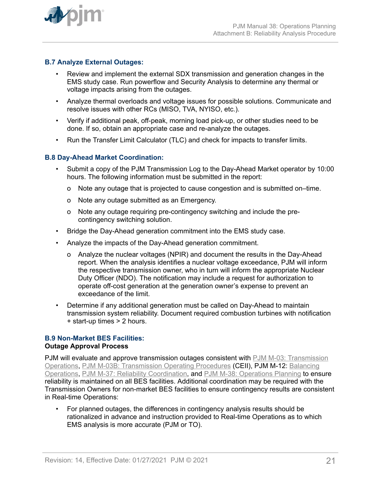

# **B.7 Analyze External Outages:**

- Review and implement the external SDX transmission and generation changes in the EMS study case. Run powerflow and Security Analysis to determine any thermal or voltage impacts arising from the outages.
- Analyze thermal overloads and voltage issues for possible solutions. Communicate and resolve issues with other RCs (MISO, TVA, NYISO, etc.).
- Verify if additional peak, off-peak, morning load pick-up, or other studies need to be done. If so, obtain an appropriate case and re-analyze the outages.
- Run the Transfer Limit Calculator (TLC) and check for impacts to transfer limits.

### **B.8 Day-Ahead Market Coordination:**

- Submit a copy of the PJM Transmission Log to the Day-Ahead Market operator by 10:00 hours. The following information must be submitted in the report:
	- o Note any outage that is projected to cause congestion and is submitted on–time.
	- o Note any outage submitted as an Emergency.
	- o Note any outage requiring pre-contingency switching and include the precontingency switching solution.
- Bridge the Day-Ahead generation commitment into the EMS study case.
- Analyze the impacts of the Day-Ahead generation commitment.
	- o Analyze the nuclear voltages (NPIR) and document the results in the Day-Ahead report. When the analysis identifies a nuclear voltage exceedance, PJM will inform the respective transmission owner, who in turn will inform the appropriate Nuclear Duty Officer (NDO). The notification may include a request for authorization to operate off-cost generation at the generation owner's expense to prevent an exceedance of the limit.
- Determine if any additional generation must be called on Day-Ahead to maintain transmission system reliability. Document required combustion turbines with notification + start-up times > 2 hours.

#### **B.9 Non-Market BES Facilities: Outage Approval Process**

PJM will evaluate and approve transmission outages consistent with [PJM M-03: Transmission](http://www.pjm.com/~/media/documents/manuals/m03.ashx) [Operations,](http://www.pjm.com/~/media/documents/manuals/m03.ashx) [PJM M-03B: Transmission Operating Procedures](https://www.pjm.com/library/manuals/private-m03.aspx) (CEII), PJM M-12: [Balancing](http://pjm.com/~/media/documents/manuals/m12.ashx) [Operations,](http://pjm.com/~/media/documents/manuals/m12.ashx) [PJM M-37: Reliability Coordination,](http://pjm.com/~/media/documents/manuals/m37.ashx) and [PJM M-38: Operations Planning](http://www.pjm.com/~/media/documents/manuals/m38.ashx) to ensure reliability is maintained on all BES facilities. Additional coordination may be required with the Transmission Owners for non-market BES facilities to ensure contingency results are consistent in Real-time Operations:

• For planned outages, the differences in contingency analysis results should be rationalized in advance and instruction provided to Real-time Operations as to which EMS analysis is more accurate (PJM or TO).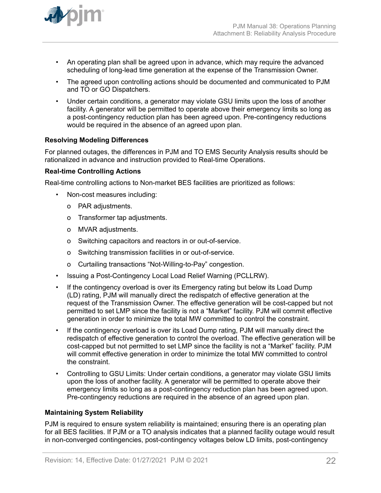

- An operating plan shall be agreed upon in advance, which may require the advanced scheduling of long-lead time generation at the expense of the Transmission Owner.
- The agreed upon controlling actions should be documented and communicated to PJM and TO or GO Dispatchers.
- Under certain conditions, a generator may violate GSU limits upon the loss of another facility. A generator will be permitted to operate above their emergency limits so long as a post-contingency reduction plan has been agreed upon. Pre-contingency reductions would be required in the absence of an agreed upon plan.

# **Resolving Modeling Differences**

For planned outages, the differences in PJM and TO EMS Security Analysis results should be rationalized in advance and instruction provided to Real-time Operations.

#### **Real-time Controlling Actions**

Real-time controlling actions to Non-market BES facilities are prioritized as follows:

- Non-cost measures including:
	- o PAR adjustments.
	- o Transformer tap adjustments.
	- o MVAR adjustments.
	- o Switching capacitors and reactors in or out-of-service.
	- o Switching transmission facilities in or out-of-service.
	- o Curtailing transactions "Not-Willing-to-Pay" congestion.
- Issuing a Post-Contingency Local Load Relief Warning (PCLLRW).
- If the contingency overload is over its Emergency rating but below its Load Dump (LD) rating, PJM will manually direct the redispatch of effective generation at the request of the Transmission Owner. The effective generation will be cost-capped but not permitted to set LMP since the facility is not a "Market" facility. PJM will commit effective generation in order to minimize the total MW committed to control the constraint.
- If the contingency overload is over its Load Dump rating, PJM will manually direct the redispatch of effective generation to control the overload. The effective generation will be cost-capped but not permitted to set LMP since the facility is not a "Market" facility. PJM will commit effective generation in order to minimize the total MW committed to control the constraint.
- Controlling to GSU Limits: Under certain conditions, a generator may violate GSU limits upon the loss of another facility. A generator will be permitted to operate above their emergency limits so long as a post-contingency reduction plan has been agreed upon. Pre-contingency reductions are required in the absence of an agreed upon plan.

#### **Maintaining System Reliability**

PJM is required to ensure system reliability is maintained; ensuring there is an operating plan for all BES facilities. If PJM or a TO analysis indicates that a planned facility outage would result in non-converged contingencies, post-contingency voltages below LD limits, post-contingency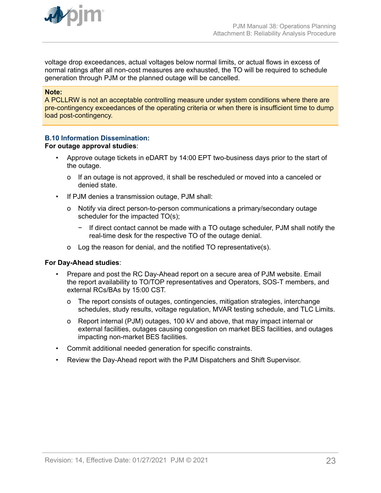

voltage drop exceedances, actual voltages below normal limits, or actual flows in excess of normal ratings after all non-cost measures are exhausted, the TO will be required to schedule generation through PJM or the planned outage will be cancelled.

#### **Note:**

A PCLLRW is not an acceptable controlling measure under system conditions where there are pre-contingency exceedances of the operating criteria or when there is insufficient time to dump load post-contingency.

# **B.10 Information Dissemination:**

#### **For outage approval studies**:

- Approve outage tickets in eDART by 14:00 EPT two-business days prior to the start of the outage.
	- o If an outage is not approved, it shall be rescheduled or moved into a canceled or denied state.
- If PJM denies a transmission outage, PJM shall:
	- o Notify via direct person-to-person communications a primary/secondary outage scheduler for the impacted TO(s);
		- − If direct contact cannot be made with a TO outage scheduler, PJM shall notify the real-time desk for the respective TO of the outage denial.
	- o Log the reason for denial, and the notified TO representative(s).

#### **For Day-Ahead studies**:

- Prepare and post the RC Day-Ahead report on a secure area of PJM website. Email the report availability to TO/TOP representatives and Operators, SOS-T members, and external RCs/BAs by 15:00 CST.
	- o The report consists of outages, contingencies, mitigation strategies, interchange schedules, study results, voltage regulation, MVAR testing schedule, and TLC Limits.
	- o Report internal (PJM) outages, 100 kV and above, that may impact internal or external facilities, outages causing congestion on market BES facilities, and outages impacting non-market BES facilities.
- Commit additional needed generation for specific constraints.
- Review the Day-Ahead report with the PJM Dispatchers and Shift Supervisor.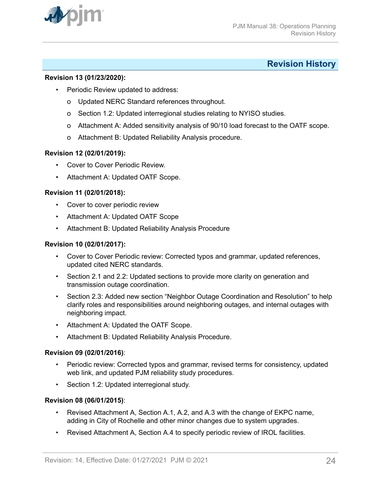<span id="page-23-0"></span>

# **Revision History**

### **Revision 13 (01/23/2020):**

- Periodic Review updated to address:
	- o Updated NERC Standard references throughout.
	- o Section 1.2: Updated interregional studies relating to NYISO studies.
	- o Attachment A: Added sensitivity analysis of 90/10 load forecast to the OATF scope.
	- o Attachment B: Updated Reliability Analysis procedure.

# **Revision 12 (02/01/2019):**

- Cover to Cover Periodic Review.
- Attachment A: Updated OATF Scope.

### **Revision 11 (02/01/2018):**

- Cover to cover periodic review
- Attachment A: Updated OATF Scope
- Attachment B: Updated Reliability Analysis Procedure

### **Revision 10 (02/01/2017):**

- Cover to Cover Periodic review: Corrected typos and grammar, updated references, updated cited NERC standards.
- Section 2.1 and 2.2: Updated sections to provide more clarity on generation and transmission outage coordination.
- Section 2.3: Added new section "Neighbor Outage Coordination and Resolution" to help clarify roles and responsibilities around neighboring outages, and internal outages with neighboring impact.
- Attachment A: Updated the OATF Scope.
- Attachment B: Updated Reliability Analysis Procedure.

#### **Revision 09 (02/01/2016)**:

- Periodic review: Corrected typos and grammar, revised terms for consistency, updated web link, and updated PJM reliability study procedures.
- Section 1.2: Updated interregional study.

#### **Revision 08 (06/01/2015)**:

- Revised Attachment A, Section A.1, A.2, and A.3 with the change of EKPC name, adding in City of Rochelle and other minor changes due to system upgrades.
- Revised Attachment A, Section A.4 to specify periodic review of IROL facilities.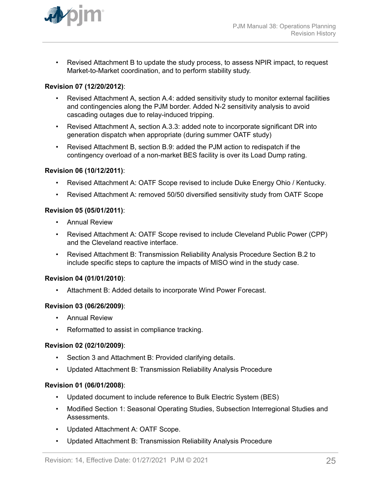

• Revised Attachment B to update the study process, to assess NPIR impact, to request Market-to-Market coordination, and to perform stability study.

# **Revision 07 (12/20/2012)**:

- Revised Attachment A, section A.4: added sensitivity study to monitor external facilities and contingencies along the PJM border. Added N-2 sensitivity analysis to avoid cascading outages due to relay-induced tripping.
- Revised Attachment A, section A.3.3: added note to incorporate significant DR into generation dispatch when appropriate (during summer OATF study)
- Revised Attachment B, section B.9: added the PJM action to redispatch if the contingency overload of a non-market BES facility is over its Load Dump rating.

#### **Revision 06 (10/12/2011)**:

- Revised Attachment A: OATF Scope revised to include Duke Energy Ohio / Kentucky*.*
- Revised Attachment A: removed 50/50 diversified sensitivity study from OATF Scope

### **Revision 05 (05/01/2011)**:

- Annual Review
- Revised Attachment A: OATF Scope revised to include Cleveland Public Power (CPP) and the Cleveland reactive interface.
- Revised Attachment B: Transmission Reliability Analysis Procedure Section B.2 to include specific steps to capture the impacts of MISO wind in the study case.

#### **Revision 04 (01/01/2010)**:

• Attachment B: Added details to incorporate Wind Power Forecast.

#### **Revision 03 (06/26/2009)**:

- Annual Review
- Reformatted to assist in compliance tracking.

#### **Revision 02 (02/10/2009)**:

- Section 3 and Attachment B: Provided clarifying details.
- Updated Attachment B: Transmission Reliability Analysis Procedure

#### **Revision 01 (06/01/2008)**:

- Updated document to include reference to Bulk Electric System (BES)
- Modified Section 1: Seasonal Operating Studies, Subsection Interregional Studies and Assessments.
- Updated Attachment A: OATF Scope.
- Updated Attachment B: Transmission Reliability Analysis Procedure